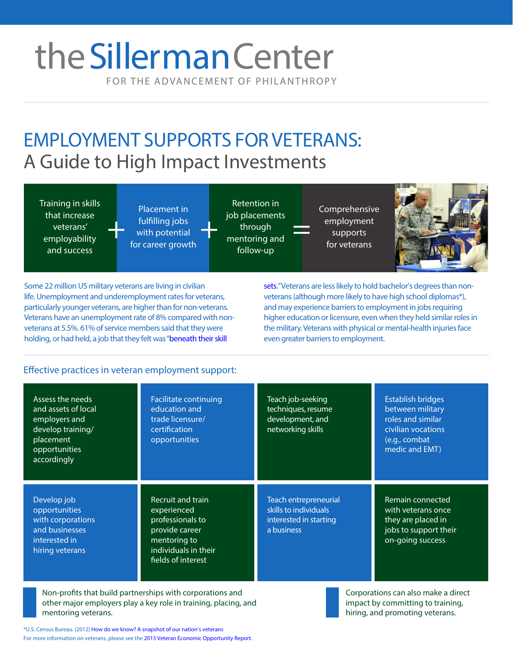# FOR THE ADVANCEMENT OF PHILANTHROPY theSillerman Center

EMPLOYMENT SUPPORTS FOR VETERANS: A Guide to High Impact Investments

Training in skills that increase veterans' employability and success

Placement in fulfilling jobs with potential for career growth fulfilling jobs<br>with potential through through through supports<br>for careor growth mentoring and for voteran

Retention in job placements through mentoring and follow-up

Comprehensive employment for veterans



Some 22 million US military veterans are living in civilian life. Unemployment and underemployment rates for veterans, particularly younger veterans, are higher than for non-veterans. Veterans have an unemployment rate of 8% [compared with non](http://www.phoenix.edu/news/releases/2014/11/translating-skills-to-civilian-jobs-a-challenge-for-veterans-reveals-uopx-survey.html)veterans at 5.5%. 61% of service members said that they were holding, or had held, a job that they felt was "beneath their skill

sets."Veterans are less likely to hold bachelor's degrees than nonveterans (although more likely to have high school diplomas\*), and may experience barriers to employment in jobs requiring higher education or licensure, even when they held similar roles in the military.Veterans with physical or mental-health injuries face even greater barriers to employment.

## Effective practices in veteran employment support:

| Assess the needs<br>and assets of local<br>employers and<br>develop training/<br>placement<br>opportunities<br>accordingly | <b>Facilitate continuing</b><br>education and<br>trade licensure/<br>certification<br>opportunities                                  | Teach job-seeking<br>techniques, resume<br>development, and<br>networking skills       | <b>Establish bridges</b><br>between military<br>roles and similar<br>civilian vocations<br>(e.g., combat<br>medic and EMT) |
|----------------------------------------------------------------------------------------------------------------------------|--------------------------------------------------------------------------------------------------------------------------------------|----------------------------------------------------------------------------------------|----------------------------------------------------------------------------------------------------------------------------|
| Develop job<br>opportunities<br>with corporations<br>and businesses<br>interested in<br>hiring veterans                    | Recruit and train<br>experienced<br>professionals to<br>provide career<br>mentoring to<br>individuals in their<br>fields of interest | Teach entrepreneurial<br>skills to individuals<br>interested in starting<br>a business | Remain connected<br>with veterans once<br>they are placed in<br>jobs to support their<br>on-going success                  |
| Non-profits that build partnerships with corporations and<br>Corporations can also make a direct                           |                                                                                                                                      |                                                                                        |                                                                                                                            |

Non-profits that build partnerships with corporations and other major employers play a key role in training, placing, and mentoring veterans.

\*U.S. Census Bureau. (2012) [How do we know? A snapshot of our nation's veterans](http://www.census.gov/library/infographics/veterans.html) For more information on veterans, please see the [2015 Veteran Economic Opportunity Report](http://www.benefits.va.gov/benefits/docs/VeteranEconomicOpportunityReport2015.PDF).



Corporations can also make a direct impact by committing to training, hiring, and promoting veterans.